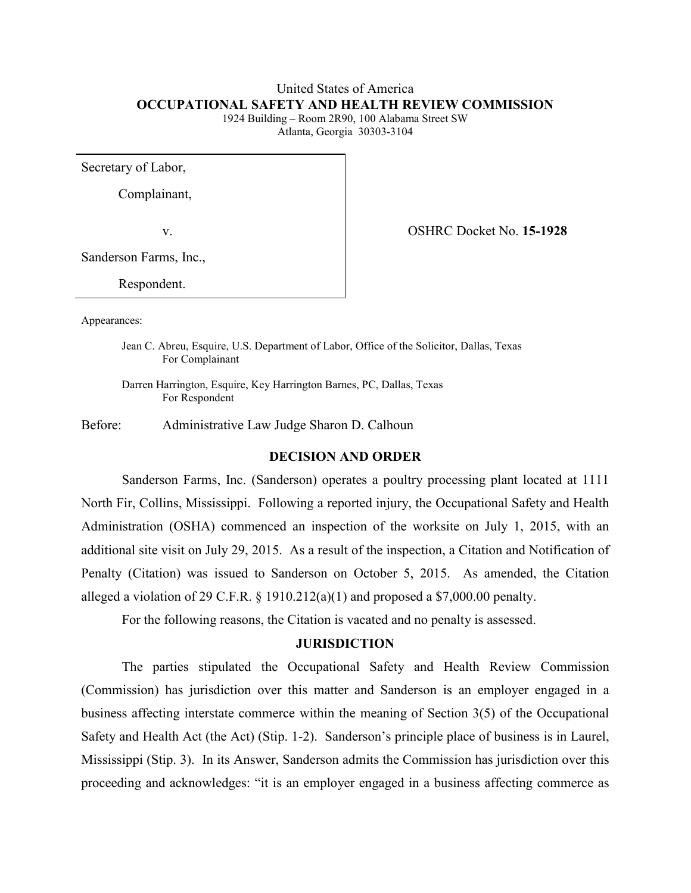### United States of America **OCCUPATIONAL SAFETY AND HEALTH REVIEW COMMISSION**

1924 Building – Room 2R90, 100 Alabama Street SW Atlanta, Georgia 30303-3104

Secretary of Labor,

Complainant,

v. OSHRC Docket No. **15-1928**

Sanderson Farms, Inc.,

Respondent.

Appearances:

Jean C. Abreu, Esquire, U.S. Department of Labor, Office of the Solicitor, Dallas, Texas For Complainant

Darren Harrington, Esquire, Key Harrington Barnes, PC, Dallas, Texas For Respondent

Before: Administrative Law Judge Sharon D. Calhoun

### **DECISION AND ORDER**

Sanderson Farms, Inc. (Sanderson) operates a poultry processing plant located at 1111 North Fir, Collins, Mississippi. Following a reported injury, the Occupational Safety and Health Administration (OSHA) commenced an inspection of the worksite on July 1, 2015, with an additional site visit on July 29, 2015. As a result of the inspection, a Citation and Notification of Penalty (Citation) was issued to Sanderson on October 5, 2015. As amended, the Citation alleged a violation of 29 C.F.R.  $\S$  1910.212(a)(1) and proposed a \$7,000.00 penalty.

For the following reasons, the Citation is vacated and no penalty is assessed.

#### **JURISDICTION**

The parties stipulated the Occupational Safety and Health Review Commission (Commission) has jurisdiction over this matter and Sanderson is an employer engaged in a business affecting interstate commerce within the meaning of Section 3(5) of the Occupational Safety and Health Act (the Act) (Stip. 1-2). Sanderson's principle place of business is in Laurel, Mississippi (Stip. 3). In its Answer, Sanderson admits the Commission has jurisdiction over this proceeding and acknowledges: "it is an employer engaged in a business affecting commerce as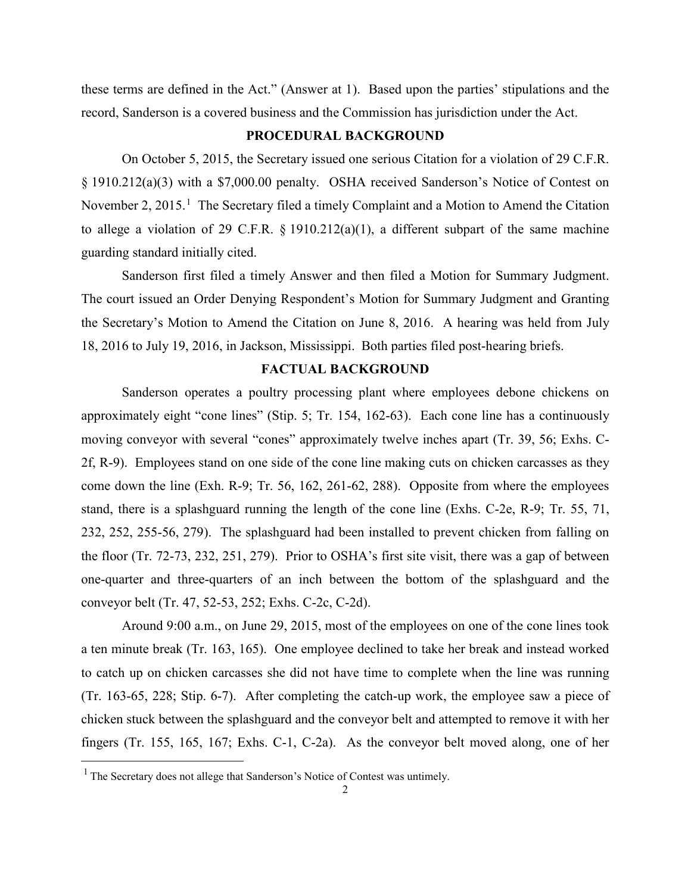these terms are defined in the Act." (Answer at 1). Based upon the parties' stipulations and the record, Sanderson is a covered business and the Commission has jurisdiction under the Act.

## **PROCEDURAL BACKGROUND**

On October 5, 2015, the Secretary issued one serious Citation for a violation of 29 C.F.R. § 1910.212(a)(3) with a \$7,000.00 penalty. OSHA received Sanderson's Notice of Contest on November 2, 20[1](#page-1-0)5.<sup>1</sup> The Secretary filed a timely Complaint and a Motion to Amend the Citation to allege a violation of 29 C.F.R. § 1910.212(a)(1), a different subpart of the same machine guarding standard initially cited.

Sanderson first filed a timely Answer and then filed a Motion for Summary Judgment. The court issued an Order Denying Respondent's Motion for Summary Judgment and Granting the Secretary's Motion to Amend the Citation on June 8, 2016. A hearing was held from July 18, 2016 to July 19, 2016, in Jackson, Mississippi. Both parties filed post-hearing briefs.

### **FACTUAL BACKGROUND**

Sanderson operates a poultry processing plant where employees debone chickens on approximately eight "cone lines" (Stip. 5; Tr. 154, 162-63). Each cone line has a continuously moving conveyor with several "cones" approximately twelve inches apart (Tr. 39, 56; Exhs. C-2f, R-9). Employees stand on one side of the cone line making cuts on chicken carcasses as they come down the line (Exh. R-9; Tr. 56, 162, 261-62, 288). Opposite from where the employees stand, there is a splashguard running the length of the cone line (Exhs. C-2e, R-9; Tr. 55, 71, 232, 252, 255-56, 279). The splashguard had been installed to prevent chicken from falling on the floor (Tr. 72-73, 232, 251, 279). Prior to OSHA's first site visit, there was a gap of between one-quarter and three-quarters of an inch between the bottom of the splashguard and the conveyor belt (Tr. 47, 52-53, 252; Exhs. C-2c, C-2d).

Around 9:00 a.m., on June 29, 2015, most of the employees on one of the cone lines took a ten minute break (Tr. 163, 165). One employee declined to take her break and instead worked to catch up on chicken carcasses she did not have time to complete when the line was running (Tr. 163-65, 228; Stip. 6-7). After completing the catch-up work, the employee saw a piece of chicken stuck between the splashguard and the conveyor belt and attempted to remove it with her fingers (Tr. 155, 165, 167; Exhs. C-1, C-2a). As the conveyor belt moved along, one of her

<span id="page-1-0"></span><sup>&</sup>lt;sup>1</sup> The Secretary does not allege that Sanderson's Notice of Contest was untimely.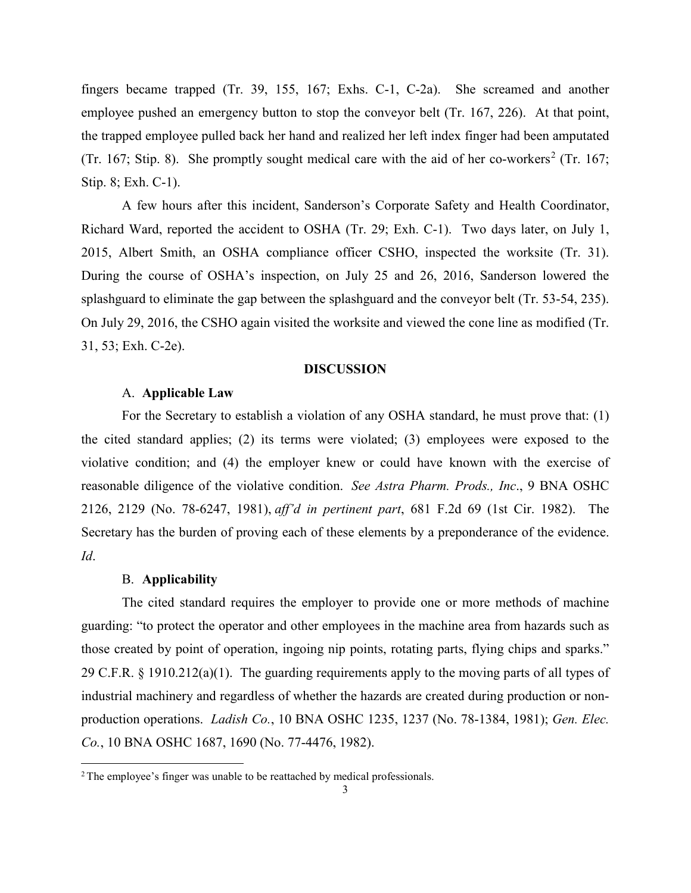fingers became trapped (Tr. 39, 155, 167; Exhs. C-1, C-2a). She screamed and another employee pushed an emergency button to stop the conveyor belt (Tr. 167, 226). At that point, the trapped employee pulled back her hand and realized her left index finger had been amputated (Tr. 167; Stip. 8). She promptly sought medical care with the aid of her co-workers<sup>[2](#page-2-0)</sup> (Tr. 167; Stip. 8; Exh. C-1).

A few hours after this incident, Sanderson's Corporate Safety and Health Coordinator, Richard Ward, reported the accident to OSHA (Tr. 29; Exh. C-1). Two days later, on July 1, 2015, Albert Smith, an OSHA compliance officer CSHO, inspected the worksite (Tr. 31). During the course of OSHA's inspection, on July 25 and 26, 2016, Sanderson lowered the splashguard to eliminate the gap between the splashguard and the conveyor belt (Tr. 53-54, 235). On July 29, 2016, the CSHO again visited the worksite and viewed the cone line as modified (Tr. 31, 53; Exh. C-2e).

#### **DISCUSSION**

### A. **Applicable Law**

For the Secretary to establish a violation of any OSHA standard, he must prove that: (1) the cited standard applies; (2) its terms were violated; (3) employees were exposed to the violative condition; and (4) the employer knew or could have known with the exercise of reasonable diligence of the violative condition. *See Astra Pharm. Prods., Inc*., 9 BNA OSHC 2126, 2129 (No. 78-6247, 1981), *aff'd in pertinent part*, 681 F.2d 69 (1st Cir. 1982). The Secretary has the burden of proving each of these elements by a preponderance of the evidence. *Id*.

### B. **Applicability**

 $\overline{a}$ 

The cited standard requires the employer to provide one or more methods of machine guarding: "to protect the operator and other employees in the machine area from hazards such as those created by point of operation, ingoing nip points, rotating parts, flying chips and sparks." 29 C.F.R. § 1910.212(a)(1). The guarding requirements apply to the moving parts of all types of industrial machinery and regardless of whether the hazards are created during production or nonproduction operations. *Ladish Co.*, 10 BNA OSHC 1235, 1237 (No. 78-1384, 1981); *Gen. Elec. Co.*, 10 BNA OSHC 1687, 1690 (No. 77-4476, 1982).

<span id="page-2-0"></span><sup>&</sup>lt;sup>2</sup> The employee's finger was unable to be reattached by medical professionals.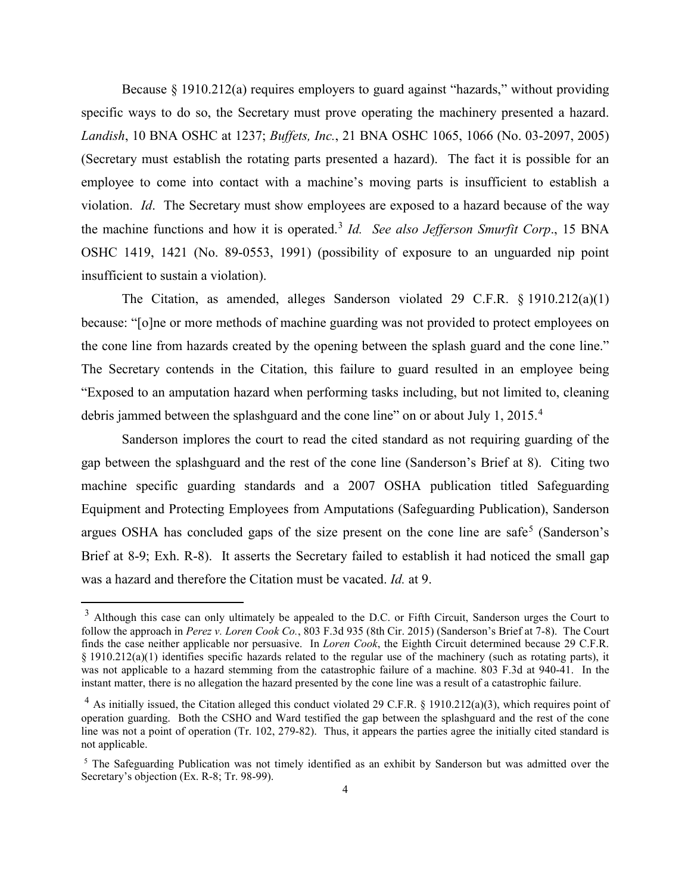Because § 1910.212(a) requires employers to guard against "hazards," without providing specific ways to do so, the Secretary must prove operating the machinery presented a hazard. *Landish*, 10 BNA OSHC at 1237; *Buffets, Inc.*, 21 BNA OSHC 1065, 1066 (No. 03-2097, 2005) (Secretary must establish the rotating parts presented a hazard). The fact it is possible for an employee to come into contact with a machine's moving parts is insufficient to establish a violation. *Id*. The Secretary must show employees are exposed to a hazard because of the way the machine functions and how it is operated.[3](#page-3-0) *Id. See also Jefferson Smurfit Corp*., 15 BNA OSHC 1419, 1421 (No. 89-0553, 1991) (possibility of exposure to an unguarded nip point insufficient to sustain a violation).

The Citation, as amended, alleges Sanderson violated 29 C.F.R. § 1910.212(a)(1) because: "[o]ne or more methods of machine guarding was not provided to protect employees on the cone line from hazards created by the opening between the splash guard and the cone line." The Secretary contends in the Citation, this failure to guard resulted in an employee being "Exposed to an amputation hazard when performing tasks including, but not limited to, cleaning debris jammed between the splashguard and the cone line" on or about July 1, 2015.<sup>[4](#page-3-1)</sup>

Sanderson implores the court to read the cited standard as not requiring guarding of the gap between the splashguard and the rest of the cone line (Sanderson's Brief at 8). Citing two machine specific guarding standards and a 2007 OSHA publication titled Safeguarding Equipment and Protecting Employees from Amputations (Safeguarding Publication), Sanderson argues OSHA has concluded gaps of the size present on the cone line are safe<sup>[5](#page-3-2)</sup> (Sanderson's Brief at 8-9; Exh. R-8). It asserts the Secretary failed to establish it had noticed the small gap was a hazard and therefore the Citation must be vacated. *Id.* at 9.

<span id="page-3-0"></span><sup>&</sup>lt;sup>3</sup> Although this case can only ultimately be appealed to the D.C. or Fifth Circuit, Sanderson urges the Court to follow the approach in *Perez v. Loren Cook Co.*, 803 F.3d 935 (8th Cir. 2015) (Sanderson's Brief at 7-8). The Court finds the case neither applicable nor persuasive. In *Loren Cook*, the Eighth Circuit determined because 29 C.F.R. § 1910.212(a)(1) identifies specific hazards related to the regular use of the machinery (such as rotating parts), it was not applicable to a hazard stemming from the catastrophic failure of a machine. 803 F.3d at 940-41. In the instant matter, there is no allegation the hazard presented by the cone line was a result of a catastrophic failure.

<span id="page-3-1"></span><sup>&</sup>lt;sup>4</sup> As initially issued, the Citation alleged this conduct violated 29 C.F.R. § 1910.212(a)(3), which requires point of operation guarding. Both the CSHO and Ward testified the gap between the splashguard and the rest of the cone line was not a point of operation (Tr. 102, 279-82). Thus, it appears the parties agree the initially cited standard is not applicable.

<span id="page-3-2"></span><sup>5</sup> The Safeguarding Publication was not timely identified as an exhibit by Sanderson but was admitted over the Secretary's objection (Ex. R-8; Tr. 98-99).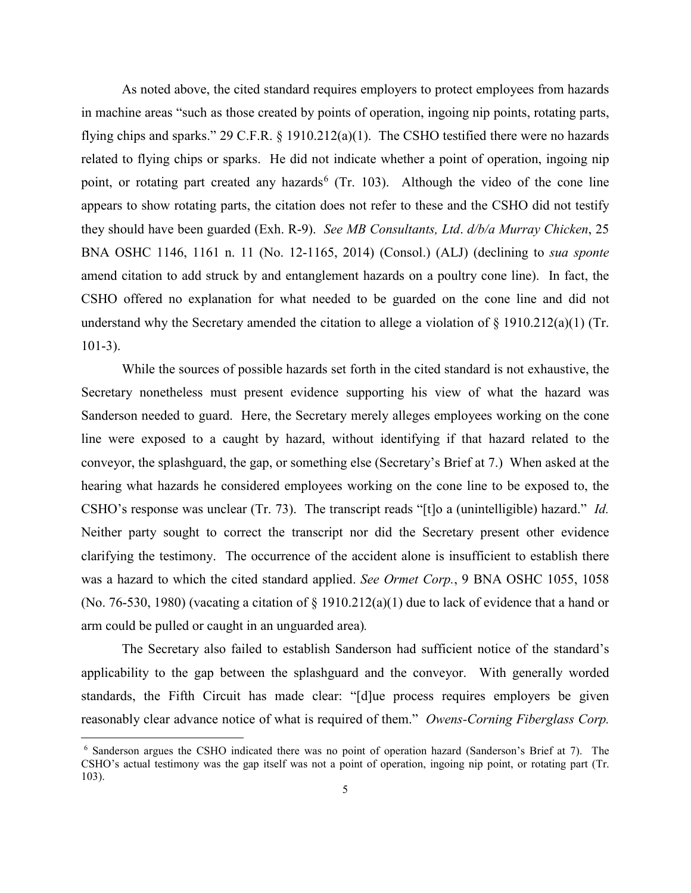As noted above, the cited standard requires employers to protect employees from hazards in machine areas "such as those created by points of operation, ingoing nip points, rotating parts, flying chips and sparks." 29 C.F.R. § 1910.212(a)(1). The CSHO testified there were no hazards related to flying chips or sparks. He did not indicate whether a point of operation, ingoing nip point, or rotating part created any hazards<sup>[6](#page-4-0)</sup> (Tr. 103). Although the video of the cone line appears to show rotating parts, the citation does not refer to these and the CSHO did not testify they should have been guarded (Exh. R-9). *See MB Consultants, Ltd*. *d/b/a Murray Chicken*, 25 BNA OSHC 1146, 1161 n. 11 (No. 12-1165, 2014) (Consol.) (ALJ) (declining to *sua sponte*  amend citation to add struck by and entanglement hazards on a poultry cone line). In fact, the CSHO offered no explanation for what needed to be guarded on the cone line and did not understand why the Secretary amended the citation to allege a violation of § 1910.212(a)(1) (Tr. 101-3).

While the sources of possible hazards set forth in the cited standard is not exhaustive, the Secretary nonetheless must present evidence supporting his view of what the hazard was Sanderson needed to guard. Here, the Secretary merely alleges employees working on the cone line were exposed to a caught by hazard, without identifying if that hazard related to the conveyor, the splashguard, the gap, or something else (Secretary's Brief at 7.) When asked at the hearing what hazards he considered employees working on the cone line to be exposed to, the CSHO's response was unclear (Tr. 73). The transcript reads "[t]o a (unintelligible) hazard." *Id.*  Neither party sought to correct the transcript nor did the Secretary present other evidence clarifying the testimony. The occurrence of the accident alone is insufficient to establish there was a hazard to which the cited standard applied. *See Ormet Corp.*, 9 BNA OSHC 1055, 1058 (No. 76-530, 1980) (vacating a citation of  $\S$  1910.212(a)(1) due to lack of evidence that a hand or arm could be pulled or caught in an unguarded area)*.*

The Secretary also failed to establish Sanderson had sufficient notice of the standard's applicability to the gap between the splashguard and the conveyor. With generally worded standards, the Fifth Circuit has made clear: "[d]ue process requires employers be given reasonably clear advance notice of what is required of them." *Owens-Corning Fiberglass Corp.* 

<span id="page-4-0"></span><sup>6</sup> Sanderson argues the CSHO indicated there was no point of operation hazard (Sanderson's Brief at 7). The CSHO's actual testimony was the gap itself was not a point of operation, ingoing nip point, or rotating part (Tr. 103).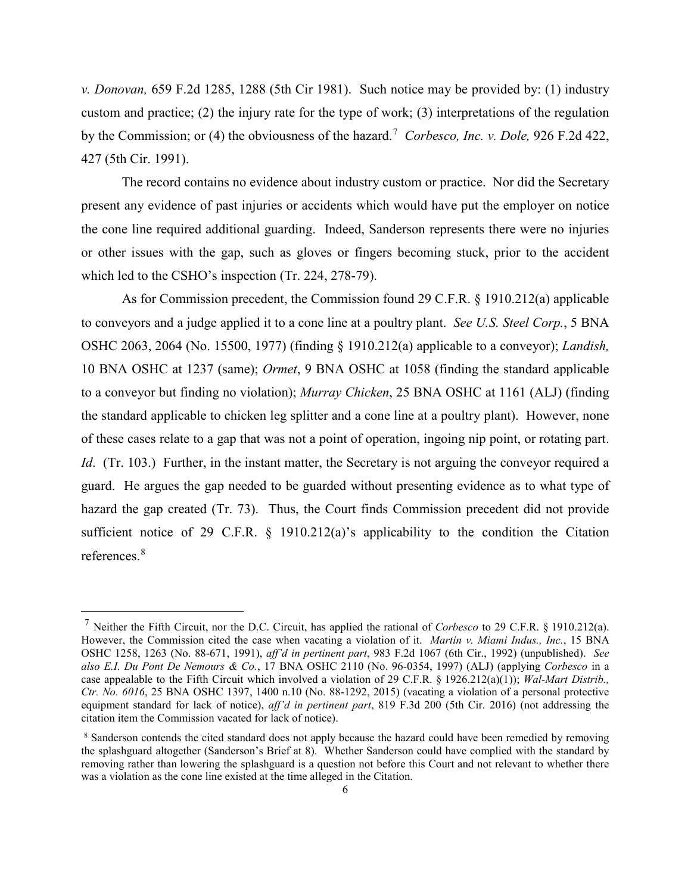*v. Donovan,* 659 F.2d 1285, 1288 (5th Cir 1981). Such notice may be provided by: (1) industry custom and practice; (2) the injury rate for the type of work; (3) interpretations of the regulation by the Commission; or (4) the obviousness of the hazard. [7](#page-5-0) *Corbesco, Inc. v. Dole,* 926 F.2d 422, 427 (5th Cir. 1991).

The record contains no evidence about industry custom or practice. Nor did the Secretary present any evidence of past injuries or accidents which would have put the employer on notice the cone line required additional guarding. Indeed, Sanderson represents there were no injuries or other issues with the gap, such as gloves or fingers becoming stuck, prior to the accident which led to the CSHO's inspection (Tr. 224, 278-79).

As for Commission precedent, the Commission found 29 C.F.R. § 1910.212(a) applicable to conveyors and a judge applied it to a cone line at a poultry plant. *See U.S. Steel Corp.*, 5 BNA OSHC 2063, 2064 (No. 15500, 1977) (finding § 1910.212(a) applicable to a conveyor); *Landish,* 10 BNA OSHC at 1237 (same); *Ormet*, 9 BNA OSHC at 1058 (finding the standard applicable to a conveyor but finding no violation); *Murray Chicken*, 25 BNA OSHC at 1161 (ALJ) (finding the standard applicable to chicken leg splitter and a cone line at a poultry plant). However, none of these cases relate to a gap that was not a point of operation, ingoing nip point, or rotating part. *Id.* (Tr. 103.) Further, in the instant matter, the Secretary is not arguing the conveyor required a guard. He argues the gap needed to be guarded without presenting evidence as to what type of hazard the gap created (Tr. 73). Thus, the Court finds Commission precedent did not provide sufficient notice of 29 C.F.R. § 1910.212(a)'s applicability to the condition the Citation references.[8](#page-5-1) 

<span id="page-5-0"></span><sup>7</sup> Neither the Fifth Circuit, nor the D.C. Circuit, has applied the rational of *Corbesco* to 29 C.F.R. § 1910.212(a). However, the Commission cited the case when vacating a violation of it. *Martin v. Miami Indus., Inc.*, 15 BNA OSHC 1258, 1263 (No. 88-671, 1991), *aff'd in pertinent part*, 983 F.2d 1067 (6th Cir., 1992) (unpublished). *See also E.I. Du Pont De Nemours & Co.*, 17 BNA OSHC 2110 (No. 96-0354, 1997) (ALJ) (applying *Corbesco* in a case appealable to the Fifth Circuit which involved a violation of 29 C.F.R. § 1926.212(a)(1)); *Wal-Mart Distrib., Ctr. No. 6016*, 25 BNA OSHC 1397, 1400 n.10 (No. 88-1292, 2015) (vacating a violation of a personal protective equipment standard for lack of notice), *aff'd in pertinent part*, 819 F.3d 200 (5th Cir. 2016) (not addressing the citation item the Commission vacated for lack of notice).

<span id="page-5-1"></span><sup>&</sup>lt;sup>8</sup> Sanderson contends the cited standard does not apply because the hazard could have been remedied by removing the splashguard altogether (Sanderson's Brief at 8). Whether Sanderson could have complied with the standard by removing rather than lowering the splashguard is a question not before this Court and not relevant to whether there was a violation as the cone line existed at the time alleged in the Citation.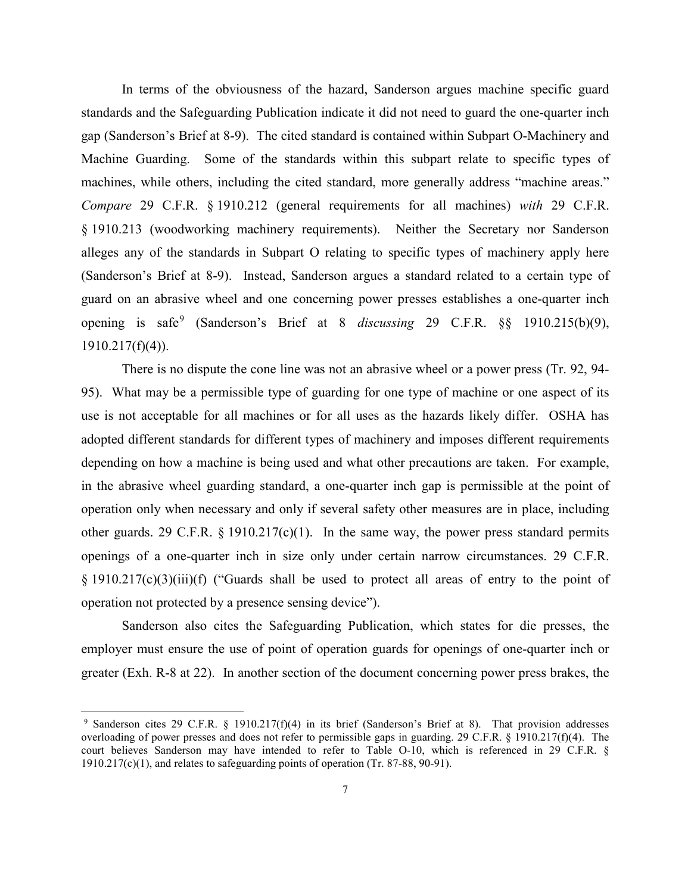In terms of the obviousness of the hazard, Sanderson argues machine specific guard standards and the Safeguarding Publication indicate it did not need to guard the one-quarter inch gap (Sanderson's Brief at 8-9). The cited standard is contained within Subpart O-Machinery and Machine Guarding. Some of the standards within this subpart relate to specific types of machines, while others, including the cited standard, more generally address "machine areas." *Compare* 29 C.F.R. § 1910.212 (general requirements for all machines) *with* 29 C.F.R. § 1910.213 (woodworking machinery requirements). Neither the Secretary nor Sanderson alleges any of the standards in Subpart O relating to specific types of machinery apply here (Sanderson's Brief at 8-9). Instead, Sanderson argues a standard related to a certain type of guard on an abrasive wheel and one concerning power presses establishes a one-quarter inch opening is safe[9](#page-6-0) (Sanderson's Brief at 8 *discussing* 29 C.F.R. §§ 1910.215(b)(9), 1910.217(f)(4)).

There is no dispute the cone line was not an abrasive wheel or a power press (Tr. 92, 94- 95). What may be a permissible type of guarding for one type of machine or one aspect of its use is not acceptable for all machines or for all uses as the hazards likely differ. OSHA has adopted different standards for different types of machinery and imposes different requirements depending on how a machine is being used and what other precautions are taken. For example, in the abrasive wheel guarding standard, a one-quarter inch gap is permissible at the point of operation only when necessary and only if several safety other measures are in place, including other guards. 29 C.F.R.  $\S$  1910.217(c)(1). In the same way, the power press standard permits openings of a one-quarter inch in size only under certain narrow circumstances. 29 C.F.R. § 1910.217(c)(3)(iii)(f) ("Guards shall be used to protect all areas of entry to the point of operation not protected by a presence sensing device").

Sanderson also cites the Safeguarding Publication, which states for die presses, the employer must ensure the use of point of operation guards for openings of one-quarter inch or greater (Exh. R-8 at 22). In another section of the document concerning power press brakes, the

<span id="page-6-0"></span><sup>9</sup> Sanderson cites 29 C.F.R. § 1910.217(f)(4) in its brief (Sanderson's Brief at 8). That provision addresses overloading of power presses and does not refer to permissible gaps in guarding. 29 C.F.R. § 1910.217(f)(4). The court believes Sanderson may have intended to refer to Table O-10, which is referenced in 29 C.F.R. § 1910.217(c)(1), and relates to safeguarding points of operation (Tr. 87-88, 90-91).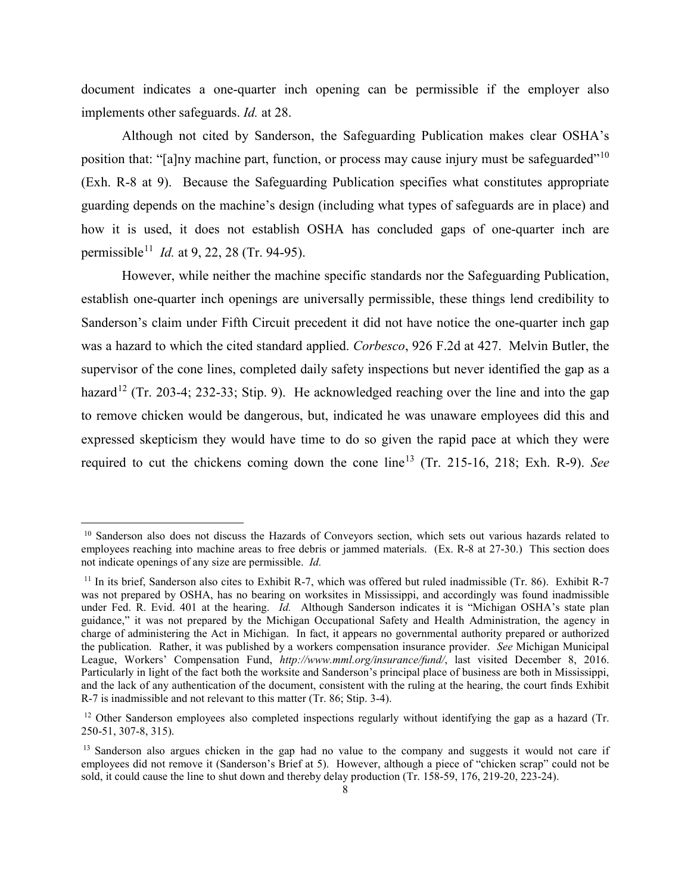document indicates a one-quarter inch opening can be permissible if the employer also implements other safeguards. *Id.* at 28.

Although not cited by Sanderson, the Safeguarding Publication makes clear OSHA's position that: "[a]ny machine part, function, or process may cause injury must be safeguarded"<sup>[10](#page-7-0)</sup> (Exh. R-8 at 9). Because the Safeguarding Publication specifies what constitutes appropriate guarding depends on the machine's design (including what types of safeguards are in place) and how it is used, it does not establish OSHA has concluded gaps of one-quarter inch are permissible[11](#page-7-1) *Id.* at 9, 22, 28 (Tr. 94-95).

However, while neither the machine specific standards nor the Safeguarding Publication, establish one-quarter inch openings are universally permissible, these things lend credibility to Sanderson's claim under Fifth Circuit precedent it did not have notice the one-quarter inch gap was a hazard to which the cited standard applied. *Corbesco*, 926 F.2d at 427. Melvin Butler, the supervisor of the cone lines, completed daily safety inspections but never identified the gap as a hazard<sup>[12](#page-7-2)</sup> (Tr. 203-4; 232-33; Stip. 9). He acknowledged reaching over the line and into the gap to remove chicken would be dangerous, but, indicated he was unaware employees did this and expressed skepticism they would have time to do so given the rapid pace at which they were required to cut the chickens coming down the cone line[13](#page-7-3) (Tr. 215-16, 218; Exh. R-9). *See* 

<span id="page-7-0"></span><sup>&</sup>lt;sup>10</sup> Sanderson also does not discuss the Hazards of Conveyors section, which sets out various hazards related to employees reaching into machine areas to free debris or jammed materials. (Ex. R-8 at 27-30.) This section does not indicate openings of any size are permissible. *Id.*

<span id="page-7-1"></span><sup>&</sup>lt;sup>11</sup> In its brief, Sanderson also cites to Exhibit R-7, which was offered but ruled inadmissible (Tr. 86). Exhibit R-7 was not prepared by OSHA, has no bearing on worksites in Mississippi, and accordingly was found inadmissible under Fed. R. Evid. 401 at the hearing. *Id.* Although Sanderson indicates it is "Michigan OSHA's state plan guidance," it was not prepared by the Michigan Occupational Safety and Health Administration, the agency in charge of administering the Act in Michigan. In fact, it appears no governmental authority prepared or authorized the publication. Rather, it was published by a workers compensation insurance provider. *See* Michigan Municipal League, Workers' Compensation Fund, *http://www.mml.org/insurance/fund/*, last visited December 8, 2016. Particularly in light of the fact both the worksite and Sanderson's principal place of business are both in Mississippi, and the lack of any authentication of the document, consistent with the ruling at the hearing, the court finds Exhibit R-7 is inadmissible and not relevant to this matter (Tr. 86; Stip. 3-4).

<span id="page-7-2"></span><sup>&</sup>lt;sup>12</sup> Other Sanderson employees also completed inspections regularly without identifying the gap as a hazard (Tr. 250-51, 307-8, 315).

<span id="page-7-3"></span><sup>&</sup>lt;sup>13</sup> Sanderson also argues chicken in the gap had no value to the company and suggests it would not care if employees did not remove it (Sanderson's Brief at 5). However, although a piece of "chicken scrap" could not be sold, it could cause the line to shut down and thereby delay production (Tr. 158-59, 176, 219-20, 223-24).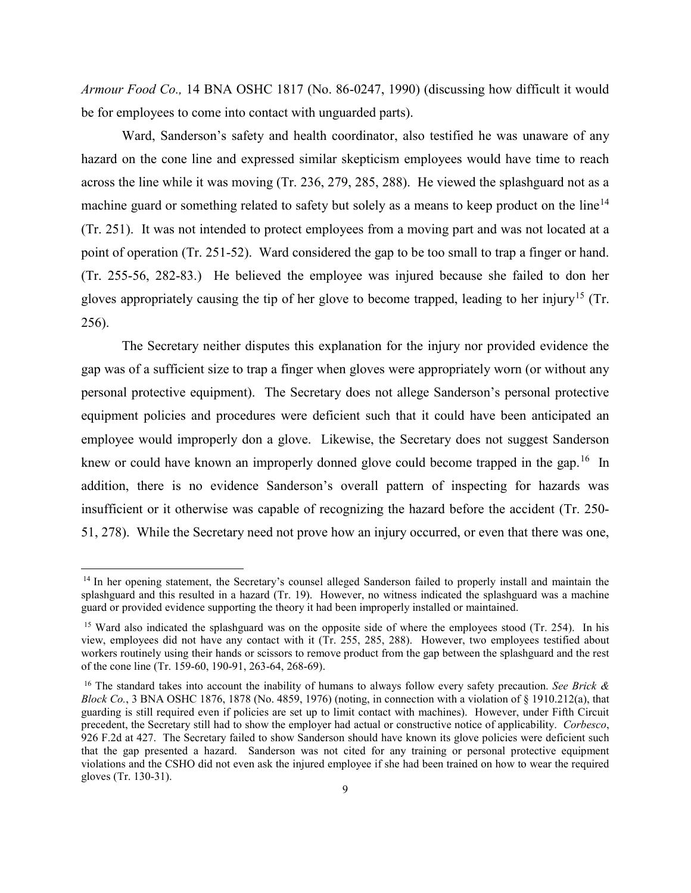*Armour Food Co.,* 14 BNA OSHC 1817 (No. 86-0247, 1990) (discussing how difficult it would be for employees to come into contact with unguarded parts).

Ward, Sanderson's safety and health coordinator, also testified he was unaware of any hazard on the cone line and expressed similar skepticism employees would have time to reach across the line while it was moving (Tr. 236, 279, 285, 288). He viewed the splashguard not as a machine guard or something related to safety but solely as a means to keep product on the line<sup>[14](#page-8-0)</sup> (Tr. 251). It was not intended to protect employees from a moving part and was not located at a point of operation (Tr. 251-52). Ward considered the gap to be too small to trap a finger or hand. (Tr. 255-56, 282-83.) He believed the employee was injured because she failed to don her gloves appropriately causing the tip of her glove to become trapped, leading to her injury[15](#page-8-1) (Tr. 256).

The Secretary neither disputes this explanation for the injury nor provided evidence the gap was of a sufficient size to trap a finger when gloves were appropriately worn (or without any personal protective equipment). The Secretary does not allege Sanderson's personal protective equipment policies and procedures were deficient such that it could have been anticipated an employee would improperly don a glove. Likewise, the Secretary does not suggest Sanderson knew or could have known an improperly donned glove could become trapped in the gap.<sup>16</sup> In addition, there is no evidence Sanderson's overall pattern of inspecting for hazards was insufficient or it otherwise was capable of recognizing the hazard before the accident (Tr. 250- 51, 278). While the Secretary need not prove how an injury occurred, or even that there was one,

<span id="page-8-0"></span><sup>&</sup>lt;sup>14</sup> In her opening statement, the Secretary's counsel alleged Sanderson failed to properly install and maintain the splashguard and this resulted in a hazard (Tr. 19). However, no witness indicated the splashguard was a machine guard or provided evidence supporting the theory it had been improperly installed or maintained.

<span id="page-8-1"></span><sup>&</sup>lt;sup>15</sup> Ward also indicated the splashguard was on the opposite side of where the employees stood (Tr. 254). In his view, employees did not have any contact with it (Tr. 255, 285, 288). However, two employees testified about workers routinely using their hands or scissors to remove product from the gap between the splashguard and the rest of the cone line (Tr. 159-60, 190-91, 263-64, 268-69).

<span id="page-8-2"></span><sup>16</sup> The standard takes into account the inability of humans to always follow every safety precaution. *See Brick & Block Co.*, 3 BNA OSHC 1876, 1878 (No. 4859, 1976) (noting, in connection with a violation of § 1910.212(a), that guarding is still required even if policies are set up to limit contact with machines). However, under Fifth Circuit precedent, the Secretary still had to show the employer had actual or constructive notice of applicability. *Corbesco*, 926 F.2d at 427. The Secretary failed to show Sanderson should have known its glove policies were deficient such that the gap presented a hazard. Sanderson was not cited for any training or personal protective equipment violations and the CSHO did not even ask the injured employee if she had been trained on how to wear the required gloves (Tr. 130-31).